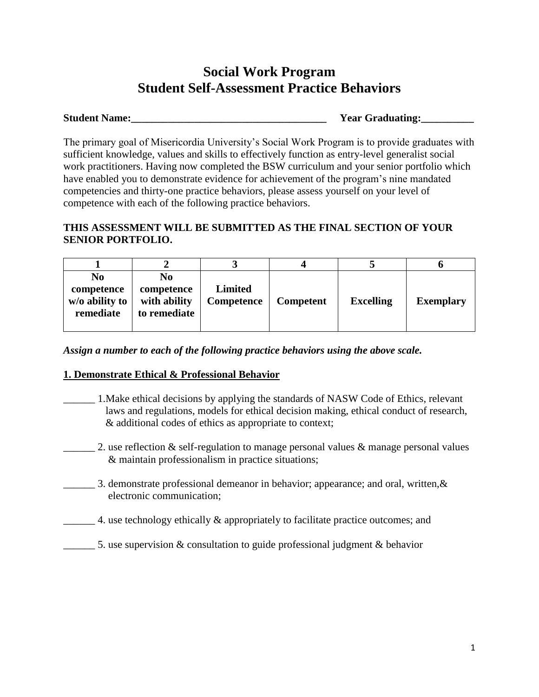# **Social Work Program Student Self-Assessment Practice Behaviors**

## **Student Name:** Notice that the state of the state of the Student Student Student Student Student Student Student Student Student Student Student Student Student Student Student Student Student Student Student Student Stud

The primary goal of Misericordia University's Social Work Program is to provide graduates with sufficient knowledge, values and skills to effectively function as entry-level generalist social work practitioners. Having now completed the BSW curriculum and your senior portfolio which have enabled you to demonstrate evidence for achievement of the program's nine mandated competencies and thirty-one practice behaviors, please assess yourself on your level of competence with each of the following practice behaviors.

## **THIS ASSESSMENT WILL BE SUBMITTED AS THE FINAL SECTION OF YOUR SENIOR PORTFOLIO.**

| No<br>competence<br>w/o ability to<br>remediate | N <sub>0</sub><br>competence<br>with ability<br>to remediate | <b>Limited</b><br>Competence | <b>Competent</b> | <b>Excelling</b> | <b>Exemplary</b> |
|-------------------------------------------------|--------------------------------------------------------------|------------------------------|------------------|------------------|------------------|

*Assign a number to each of the following practice behaviors using the above scale.*

## **1. Demonstrate Ethical & Professional Behavior**

- \_\_\_\_\_\_ 1.Make ethical decisions by applying the standards of NASW Code of Ethics, relevant laws and regulations, models for ethical decision making, ethical conduct of research, & additional codes of ethics as appropriate to context;
- 2. use reflection  $\&$  self-regulation to manage personal values  $\&$  manage personal values & maintain professionalism in practice situations;
- \_\_\_\_\_\_ 3. demonstrate professional demeanor in behavior; appearance; and oral, written,& electronic communication;
- 4. use technology ethically & appropriately to facilitate practice outcomes; and
- \_\_\_\_\_\_ 5. use supervision & consultation to guide professional judgment & behavior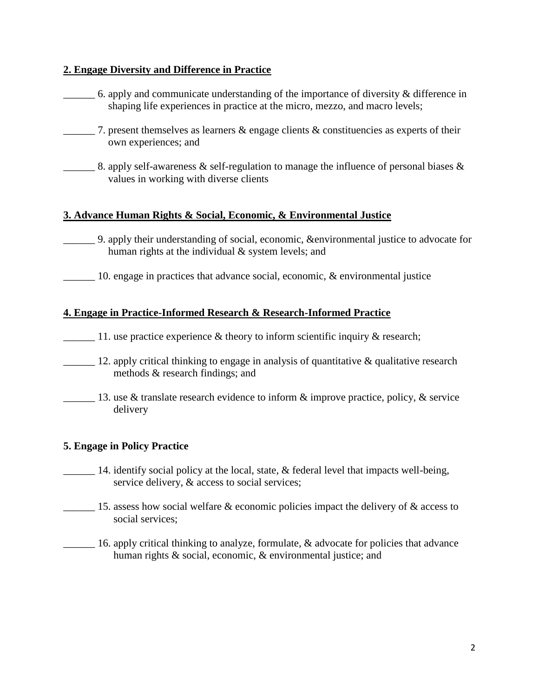## **2. Engage Diversity and Difference in Practice**

- 6. apply and communicate understanding of the importance of diversity  $\&$  difference in shaping life experiences in practice at the micro, mezzo, and macro levels;
- 7. present themselves as learners  $\&$  engage clients  $\&$  constituencies as experts of their own experiences; and
- 8. apply self-awareness & self-regulation to manage the influence of personal biases  $\&$ values in working with diverse clients

## **3. Advance Human Rights & Social, Economic, & Environmental Justice**

- \_\_\_\_\_\_ 9. apply their understanding of social, economic, &environmental justice to advocate for human rights at the individual & system levels; and
- 10. engage in practices that advance social, economic, & environmental justice

#### **4. Engage in Practice-Informed Research & Research-Informed Practice**

- 11. use practice experience  $\&$  theory to inform scientific inquiry  $\&$  research;
- <sup>12</sup>. apply critical thinking to engage in analysis of quantitative & qualitative research methods & research findings; and
- 13. use & translate research evidence to inform  $\&$  improve practice, policy,  $\&$  service delivery

#### **5. Engage in Policy Practice**

- $\Box$  14. identify social policy at the local, state, & federal level that impacts well-being, service delivery,  $\&$  access to social services;
- $\frac{1}{15}$  15. assess how social welfare & economic policies impact the delivery of & access to social services;
- 16. apply critical thinking to analyze, formulate, & advocate for policies that advance human rights & social, economic, & environmental justice; and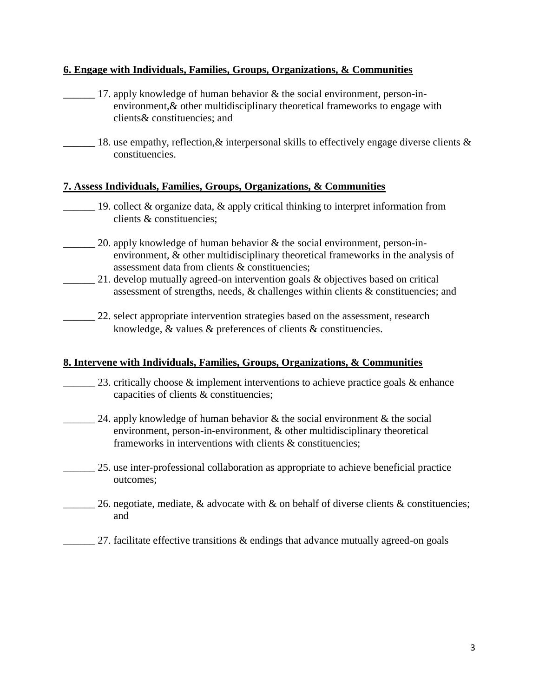## **6. Engage with Individuals, Families, Groups, Organizations, & Communities**

- 17. apply knowledge of human behavior  $\&$  the social environment, person-in environment,& other multidisciplinary theoretical frameworks to engage with clients& constituencies; and
- $\frac{1}{\sqrt{2}}$  18. use empathy, reflection, & interpersonal skills to effectively engage diverse clients & constituencies.

## **7. Assess Individuals, Families, Groups, Organizations, & Communities**

- 19. collect & organize data, & apply critical thinking to interpret information from clients & constituencies;
	- 20. apply knowledge of human behavior  $&$  the social environment, person-in environment, & other multidisciplinary theoretical frameworks in the analysis of assessment data from clients & constituencies;
	- 21. develop mutually agreed-on intervention goals & objectives based on critical assessment of strengths, needs, & challenges within clients & constituencies; and
	- 22. select appropriate intervention strategies based on the assessment, research knowledge, & values & preferences of clients & constituencies.

#### **8. Intervene with Individuals, Families, Groups, Organizations, & Communities**

- 23. critically choose  $\&$  implement interventions to achieve practice goals  $\&$  enhance capacities of clients & constituencies;
- $\_\_\_\_$  24. apply knowledge of human behavior & the social environment & the social environment, person-in-environment, & other multidisciplinary theoretical frameworks in interventions with clients & constituencies;
- 25. use inter-professional collaboration as appropriate to achieve beneficial practice outcomes;
	- 26. negotiate, mediate, & advocate with  $\&$  on behalf of diverse clients  $\&$  constituencies; and
- $\frac{27}{100}$  27. facilitate effective transitions & endings that advance mutually agreed-on goals